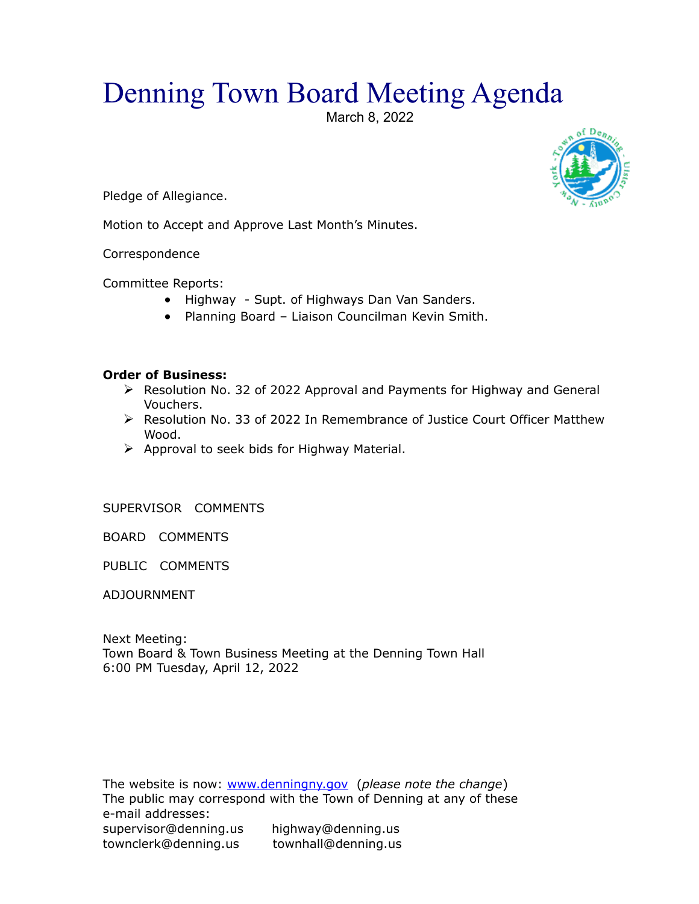## Denning Town Board Meeting Agenda

March 8, 2022





Motion to Accept and Approve Last Month's Minutes.

Correspondence

Committee Reports:

- Highway Supt. of Highways Dan Van Sanders.
- Planning Board Liaison Councilman Kevin Smith.

## **Order of Business:**

- Resolution No. 32 of 2022 Approval and Payments for Highway and General Vouchers.
- $\triangleright$  Resolution No. 33 of 2022 In Remembrance of Justice Court Officer Matthew Wood.
- $\triangleright$  Approval to seek bids for Highway Material.

SUPERVISOR COMMENTS

BOARD COMMENTS

PUBLIC COMMENTS

ADJOURNMENT

Next Meeting: Town Board & Town Business Meeting at the Denning Town Hall 6:00 PM Tuesday, April 12, 2022

The website is now: [www.denningny.gov](http://www.denningny.gov/) (*please note the change*) The public may correspond with the Town of Denning at any of these e-mail addresses: supervisor@denning.us highway@denning.us townclerk@denning.us townhall@denning.us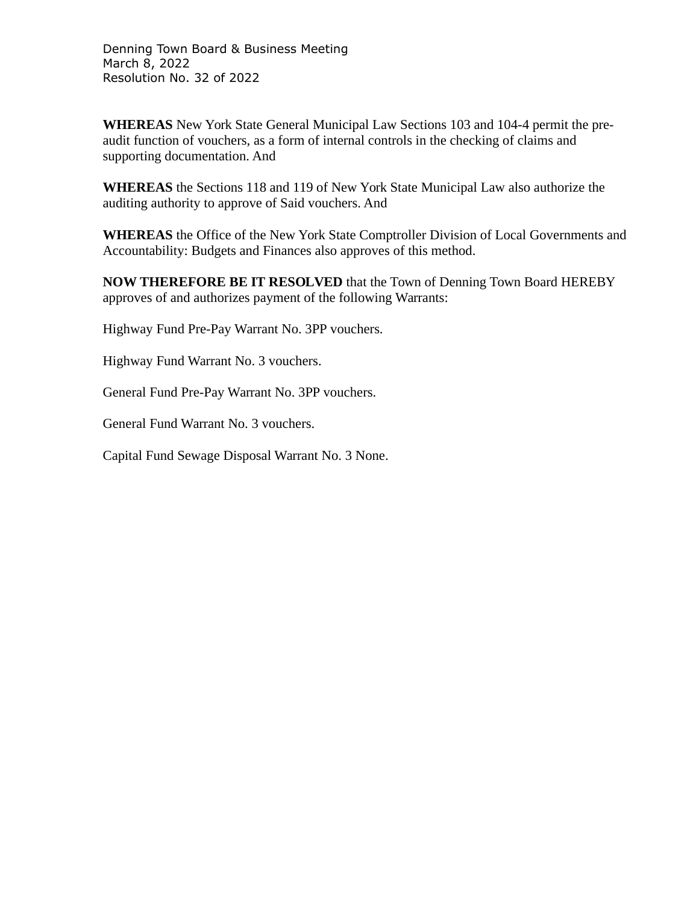Denning Town Board & Business Meeting March 8, 2022 Resolution No. 32 of 2022

**WHEREAS** New York State General Municipal Law Sections 103 and 104-4 permit the preaudit function of vouchers, as a form of internal controls in the checking of claims and supporting documentation. And

**WHEREAS** the Sections 118 and 119 of New York State Municipal Law also authorize the auditing authority to approve of Said vouchers. And

**WHEREAS** the Office of the New York State Comptroller Division of Local Governments and Accountability: Budgets and Finances also approves of this method.

**NOW THEREFORE BE IT RESOLVED** that the Town of Denning Town Board HEREBY approves of and authorizes payment of the following Warrants:

Highway Fund Pre-Pay Warrant No. 3PP vouchers.

Highway Fund Warrant No. 3 vouchers.

General Fund Pre-Pay Warrant No. 3PP vouchers.

General Fund Warrant No. 3 vouchers.

Capital Fund Sewage Disposal Warrant No. 3 None.